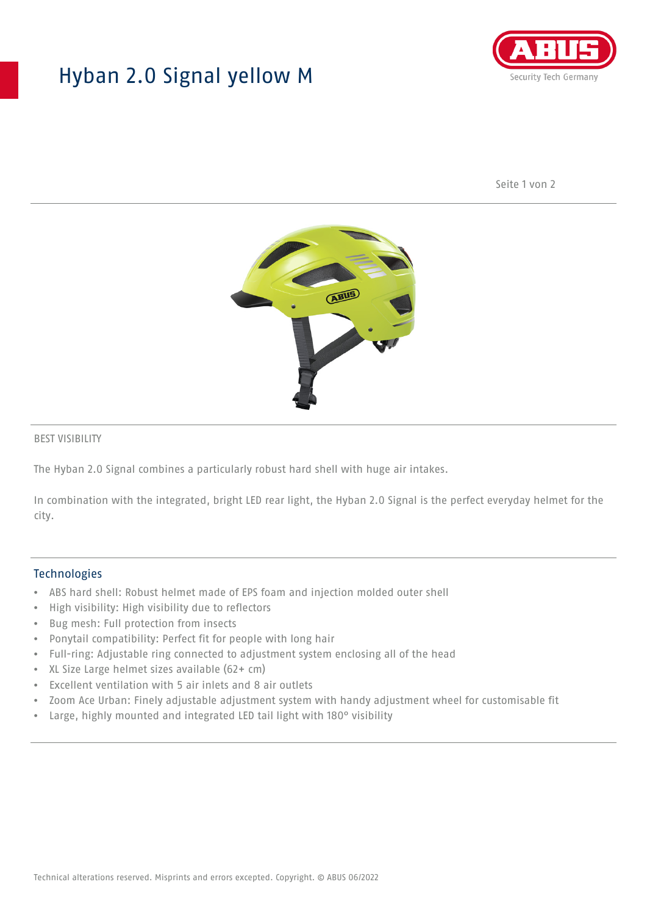## Hyban 2.0 Signal yellow M



Seite 1 von 2



#### BEST VISIBILITY

The Hyban 2.0 Signal combines a particularly robust hard shell with huge air intakes.

In combination with the integrated, bright LED rear light, the Hyban 2.0 Signal is the perfect everyday helmet for the city.

#### **Technologies**

- ABS hard shell: Robust helmet made of EPS foam and injection molded outer shell
- High visibility: High visibility due to reflectors
- Bug mesh: Full protection from insects
- Ponytail compatibility: Perfect fit for people with long hair
- Full-ring: Adjustable ring connected to adjustment system enclosing all of the head
- XL Size Large helmet sizes available (62+ cm)
- Excellent ventilation with 5 air inlets and 8 air outlets
- Zoom Ace Urban: Finely adjustable adjustment system with handy adjustment wheel for customisable fit
- Large, highly mounted and integrated LED tail light with 180° visibility